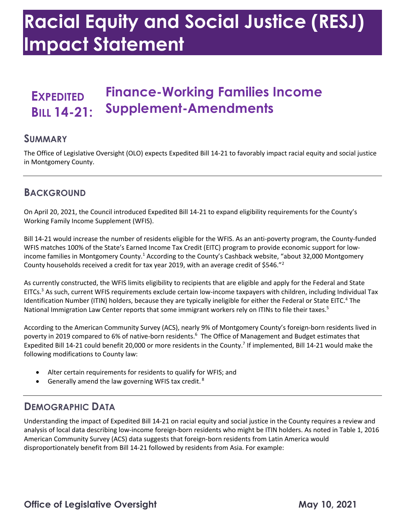# **Racial Equity and Social Justice (RESJ) Impact Statement**

# **EXPEDITED Finance-Working Families Income BILL 14-21: Supplement-Amendments**

#### **SUMMARY**

 The Office of Legislative Oversight (OLO) expects Expedited Bill 14-21 to favorably impact racial equity and social justice in Montgomery County.

### **BACKGROUND**

 On April 20, 2021, the Council introduced Expedited Bill 14-21 to expand eligibility requirements for the County's Working Family Income Supplement (WFIS).

 Bill 14-21 would increase the number of residents eligible for the WFIS. As an anti-poverty program, the County-funded WFIS matches 100% of the State's Earned Income Tax Credit (EITC) program to provide economic support for lowincome families in Montgomery County.<sup>1</sup> According to the County's Cashback website, "about 32,000 Montgomery County households received a credit for tax year 2019, with an average credit of \$546. $"^2$ 

 As currently constructed, the WFIS limits eligibility to recipients that are eligible and apply for the Federal and State EITCs.<sup>3</sup> As such, current WFIS requirements exclude certain low-income taxpayers with children, including Individual Tax Identification Number (ITIN) holders, because they are typically ineligible for either the Federal or State EITC.<sup>4</sup> The National Immigration Law Center reports that some immigrant workers rely on ITINs to file their taxes.<sup>5</sup>

 According to the American Community Survey (ACS), nearly 9% of Montgomery County's foreign-born residents lived in poverty in 2019 compared to 6% of native-born residents. 6 The Office of Management and Budget estimates that Expedited Bill 14-21 could benefit 20,000 or more residents in the County.<sup>7</sup> If implemented, Bill 14-21 would make the following modifications to County law:

- Alter certain requirements for residents to qualify for WFIS; and
- Generally amend the law governing WFIS tax credit.  $8$

#### **DEMOGRAPHIC DATA**

 Understanding the impact of Expedited Bill 14-21 on racial equity and social justice in the County requires a review and analysis of local data describing low-income foreign-born residents who might be ITIN holders. As noted in Table 1, 2016 American Community Survey (ACS) data suggests that foreign-born residents from Latin America would disproportionately benefit from Bill 14-21 followed by residents from Asia. For example: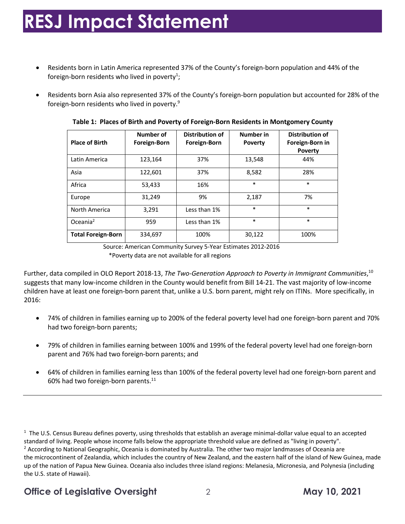# **RESJ Impact Statement**

- • Residents born in Latin America represented 37% of the County's foreign-born population and 44% of the foreign-born residents who lived in poverty<sup>1</sup>;
- • Residents born Asia also represented 37% of the County's foreign-born population but accounted for 28% of the foreign-born residents who lived in poverty. 9

| <b>Place of Birth</b>     | Number of<br><b>Foreign-Born</b> | <b>Distribution of</b><br><b>Foreign-Born</b> | <b>Number in</b><br><b>Poverty</b> | <b>Distribution of</b><br>Foreign-Born in<br><b>Poverty</b> |
|---------------------------|----------------------------------|-----------------------------------------------|------------------------------------|-------------------------------------------------------------|
| Latin America             | 123,164                          | 37%                                           | 13,548                             | 44%                                                         |
| Asia                      | 122,601                          | 37%                                           | 8,582                              | 28%                                                         |
| Africa                    | 53,433                           | 16%                                           | $\ast$                             | $\ast$                                                      |
| Europe                    | 31,249                           | 9%                                            | 2.187                              | 7%                                                          |
| North America             | 3,291                            | Less than 1%                                  | $\ast$                             | $\ast$                                                      |
| Oceania $2$               | 959                              | Less than 1%                                  | $\ast$                             | $\ast$                                                      |
| <b>Total Foreign-Born</b> | 334,697                          | 100%                                          | 30,122                             | 100%                                                        |

 **Table 1: Places of Birth and Poverty of Foreign-Born Residents in Montgomery County** 

Source: American Community Survey 5-Year Estimates 2012-2016 \*Poverty data are not available for all regions

Further, data compiled in OLO Report 2018-13, *The Two-Generation Approach to Poverty in Immigrant Communities*,<sup>10</sup> suggests that many low-income children in the County would benefit from Bill 14-21. The vast majority of low-income children have at least one foreign-born parent that, unlike a U.S. born parent, might rely on ITINs. More specifically, in 2016:

- • 74% of children in families earning up to 200% of the federal poverty level had one foreign-born parent and 70% had two foreign-born parents;
- • 79% of children in families earning between 100% and 199% of the federal poverty level had one foreign-born parent and 76% had two foreign-born parents; and
- • 64% of children in families earning less than 100% of the federal poverty level had one foreign-born parent and 60% had two foreign-born [parents.](https://parents.11) 11

 $1$  The U.S. Census Bureau defines poverty, using thresholds that establish an average minimal-dollar value equal to an accepted standard of living. People whose income falls below the appropriate threshold value are defined as "living in poverty". standard of living. People whose income falls below the appropriate threshold value are defined as "living in poverty".<br><sup>2</sup> According to National Geographic, Oceania is dominated by Australia. The other two major landmasse the microcontinent of Zealandia, which includes the country of New Zealand, and the eastern half of the island of New Guinea, made up of the nation of Papua New Guinea. Oceania also includes three island regions: Melanesia, Micronesia, and Polynesia (including the U.S. state of Hawaii).

#### **Office of Legislative Oversight**  $\qquad 2$  2 **May 10, 2021**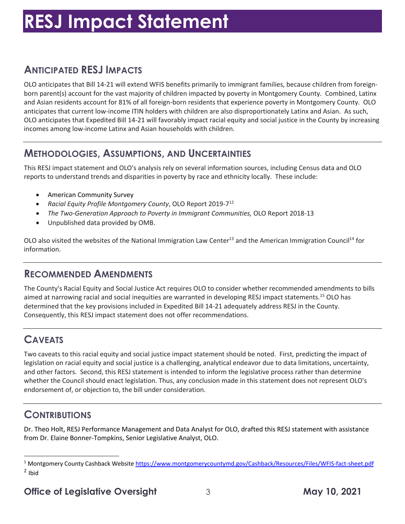# **RESJ Impact Statement**

## **ANTICIPATED RESJ IMPACTS**

 OLO anticipates that Bill 14-21 will extend WFIS benefits primarily to immigrant families, because children from foreign- born parent(s) account for the vast majority of children impacted by poverty in Montgomery County. Combined, Latinx and Asian residents account for 81% of all foreign-born residents that experience poverty in Montgomery County. OLO anticipates that current low-income ITIN holders with children are also disproportionately Latinx and Asian. As such, OLO anticipates that Expedited Bill 14-21 will favorably impact racial equity and social justice in the County by increasing incomes among low-income Latinx and Asian households with children.

### **METHODOLOGIES, ASSUMPTIONS, AND UNCERTAINTIES**

 This RESJ impact statement and OLO's analysis rely on several information sources, including Census data and OLO reports to understand trends and disparities in poverty by race and ethnicity locally. These include:

- American Community Survey
- Racial Equity Profile Montgomery County, OLO Report 2019-7<sup>12</sup>
- The Two-Generation Approach to Poverty in Immigrant Communities, OLO Report 2018-13
- Unpublished data provided by OMB.

OLO also visited the websites of the National Immigration Law Center<sup>13</sup> and the American Immigration Council<sup>14</sup> for information.

### **RECOMMENDED AMENDMENTS**

 The County's Racial Equity and Social Justice Act requires OLO to consider whether recommended amendments to bills aimed at narrowing racial and social inequities are warranted in developing RESJ impact statements.<sup>15</sup> OLO has determined that the key provisions included in Expedited Bill 14-21 adequately address RESJ in the County. Consequently, this RESJ impact statement does not offer recommendations.

# **CAVEATS**

 Two caveats to this racial equity and social justice impact statement should be noted. First, predicting the impact of and other factors. Second, this RESJ statement is intended to inform the legislative process rather than determine whether the Council should enact legislation. Thus, any conclusion made in this statement does not represent OLO's endorsement of, or objection to, the bill under consideration. legislation on racial equity and social justice is a challenging, analytical endeavor due to data limitations, uncertainty,

### **CONTRIBUTIONS**

 Dr. Theo Holt, RESJ Performance Management and Data Analyst for OLO, drafted this RESJ statement with assistance from Dr. Elaine Bonner-Tompkins, Senior Legislative Analyst, OLO.

<sup>&</sup>lt;sup>1</sup> Montgomery County Cashback Website<https://www.montgomerycountymd.gov/Cashback/Resources/Files/WFIS-fact-sheet.pdf>  $2$  Ibid